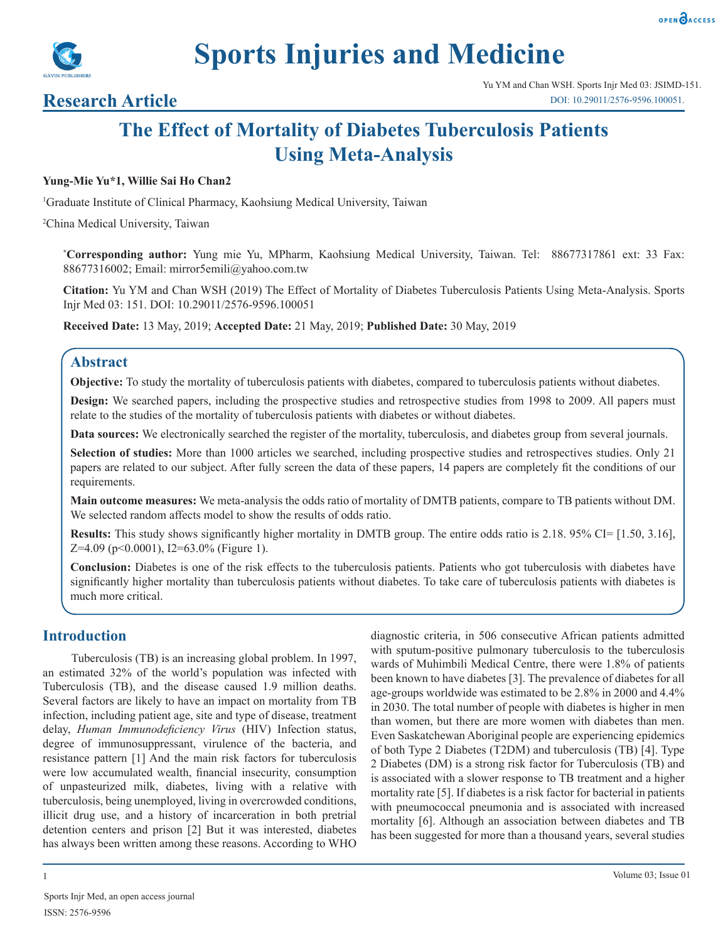



# **Sports Injuries and Medicine**

# **Research Article**

# **The Effect of Mortality of Diabetes Tuberculosis Patients Using Meta-Analysis**

#### **Yung-Mie Yu\*1, Willie Sai Ho Chan2**

1 Graduate Institute of Clinical Pharmacy, Kaohsiung Medical University, Taiwan

2 China Medical University, Taiwan

**\* Corresponding author:** Yung mie Yu, MPharm, Kaohsiung Medical University, Taiwan. Tel: 88677317861 ext: 33 Fax: 88677316002; Email: mirror5emili@yahoo.com.tw

**Citation:** Yu YM and Chan WSH (2019) The Effect of Mortality of Diabetes Tuberculosis Patients Using Meta-Analysis. Sports Injr Med 03: 151. DOI: 10.29011/2576-9596.100051

**Received Date:** 13 May, 2019; **Accepted Date:** 21 May, 2019; **Published Date:** 30 May, 2019

#### **Abstract**

**Objective:** To study the mortality of tuberculosis patients with diabetes, compared to tuberculosis patients without diabetes.

**Design:** We searched papers, including the prospective studies and retrospective studies from 1998 to 2009. All papers must relate to the studies of the mortality of tuberculosis patients with diabetes or without diabetes.

**Data sources:** We electronically searched the register of the mortality, tuberculosis, and diabetes group from several journals.

**Selection of studies:** More than 1000 articles we searched, including prospective studies and retrospectives studies. Only 21 papers are related to our subject. After fully screen the data of these papers, 14 papers are completely fit the conditions of our requirements.

**Main outcome measures:** We meta-analysis the odds ratio of mortality of DMTB patients, compare to TB patients without DM. We selected random affects model to show the results of odds ratio.

**Results:** This study shows significantly higher mortality in DMTB group. The entire odds ratio is 2.18. 95% CI= [1.50, 3.16], Z=4.09 (p<0.0001), I2=63.0% (Figure 1).

**Conclusion:** Diabetes is one of the risk effects to the tuberculosis patients. Patients who got tuberculosis with diabetes have significantly higher mortality than tuberculosis patients without diabetes. To take care of tuberculosis patients with diabetes is much more critical.

#### **Introduction**

Tuberculosis (TB) is an increasing global problem. In 1997, an estimated 32% of the world's population was infected with Tuberculosis (TB), and the disease caused 1.9 million deaths. Several factors are likely to have an impact on mortality from TB infection, including patient age, site and type of disease, treatment delay, *Human Immunodeficiency Virus* (HIV) Infection status, degree of immunosuppressant, virulence of the bacteria, and resistance pattern [1] And the main risk factors for tuberculosis were low accumulated wealth, financial insecurity, consumption of unpasteurized milk, diabetes, living with a relative with tuberculosis, being unemployed, living in overcrowded conditions, illicit drug use, and a history of incarceration in both pretrial detention centers and prison [2] But it was interested, diabetes has always been written among these reasons. According to WHO

diagnostic criteria, in 506 consecutive African patients admitted with sputum-positive pulmonary tuberculosis to the tuberculosis wards of Muhimbili Medical Centre, there were 1.8% of patients been known to have diabetes [3]. The prevalence of diabetes for all age-groups worldwide was estimated to be 2.8% in 2000 and 4.4% in 2030. The total number of people with diabetes is higher in men than women, but there are more women with diabetes than men. Even Saskatchewan Aboriginal people are experiencing epidemics of both Type 2 Diabetes (T2DM) and tuberculosis (TB) [4]. Type 2 Diabetes (DM) is a strong risk factor for Tuberculosis (TB) and is associated with a slower response to TB treatment and a higher mortality rate [5]. If diabetes is a risk factor for bacterial in patients with pneumococcal pneumonia and is associated with increased mortality [6]. Although an association between diabetes and TB has been suggested for more than a thousand years, several studies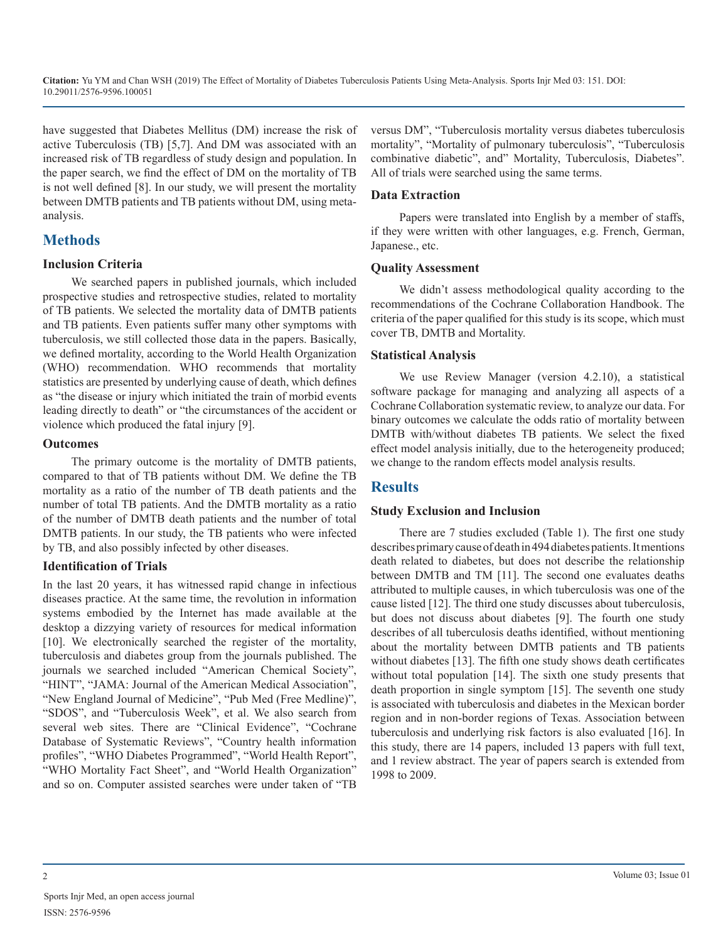have suggested that Diabetes Mellitus (DM) increase the risk of active Tuberculosis (TB) [5,7]. And DM was associated with an increased risk of TB regardless of study design and population. In the paper search, we find the effect of DM on the mortality of TB is not well defined [8]. In our study, we will present the mortality between DMTB patients and TB patients without DM, using metaanalysis.

### **Methods**

#### **Inclusion Criteria**

We searched papers in published journals, which included prospective studies and retrospective studies, related to mortality of TB patients. We selected the mortality data of DMTB patients and TB patients. Even patients suffer many other symptoms with tuberculosis, we still collected those data in the papers. Basically, we defined mortality, according to the World Health Organization (WHO) recommendation. WHO recommends that mortality statistics are presented by underlying cause of death, which defines as "the disease or injury which initiated the train of morbid events leading directly to death" or "the circumstances of the accident or violence which produced the fatal injury [9].

#### **Outcomes**

The primary outcome is the mortality of DMTB patients, compared to that of TB patients without DM. We define the TB mortality as a ratio of the number of TB death patients and the number of total TB patients. And the DMTB mortality as a ratio of the number of DMTB death patients and the number of total DMTB patients. In our study, the TB patients who were infected by TB, and also possibly infected by other diseases.

#### **Identification of Trials**

In the last 20 years, it has witnessed rapid change in infectious diseases practice. At the same time, the revolution in information systems embodied by the Internet has made available at the desktop a dizzying variety of resources for medical information [10]. We electronically searched the register of the mortality, tuberculosis and diabetes group from the journals published. The journals we searched included "American Chemical Society", "HINT", "JAMA: Journal of the American Medical Association", "New England Journal of Medicine", "Pub Med (Free Medline)", "SDOS", and "Tuberculosis Week", et al. We also search from several web sites. There are "Clinical Evidence", "Cochrane Database of Systematic Reviews", "Country health information profiles", "WHO Diabetes Programmed", "World Health Report", "WHO Mortality Fact Sheet", and "World Health Organization" and so on. Computer assisted searches were under taken of "TB

versus DM", "Tuberculosis mortality versus diabetes tuberculosis mortality", "Mortality of pulmonary tuberculosis", "Tuberculosis combinative diabetic", and" Mortality, Tuberculosis, Diabetes". All of trials were searched using the same terms.

#### **Data Extraction**

Papers were translated into English by a member of staffs, if they were written with other languages, e.g. French, German, Japanese., etc.

#### **Quality Assessment**

We didn't assess methodological quality according to the recommendations of the Cochrane Collaboration Handbook. The criteria of the paper qualified for this study is its scope, which must cover TB, DMTB and Mortality.

#### **Statistical Analysis**

We use Review Manager (version 4.2.10), a statistical software package for managing and analyzing all aspects of a Cochrane Collaboration systematic review, to analyze our data. For binary outcomes we calculate the odds ratio of mortality between DMTB with/without diabetes TB patients. We select the fixed effect model analysis initially, due to the heterogeneity produced; we change to the random effects model analysis results.

## **Results**

#### **Study Exclusion and Inclusion**

There are 7 studies excluded (Table 1). The first one study describes primary cause of death in 494 diabetes patients. It mentions death related to diabetes, but does not describe the relationship between DMTB and TM [11]. The second one evaluates deaths attributed to multiple causes, in which tuberculosis was one of the cause listed [12]. The third one study discusses about tuberculosis, but does not discuss about diabetes [9]. The fourth one study describes of all tuberculosis deaths identified, without mentioning about the mortality between DMTB patients and TB patients without diabetes [13]. The fifth one study shows death certificates without total population [14]. The sixth one study presents that death proportion in single symptom [15]. The seventh one study is associated with tuberculosis and diabetes in the Mexican border region and in non-border regions of Texas. Association between tuberculosis and underlying risk factors is also evaluated [16]. In this study, there are 14 papers, included 13 papers with full text, and 1 review abstract. The year of papers search is extended from 1998 to 2009.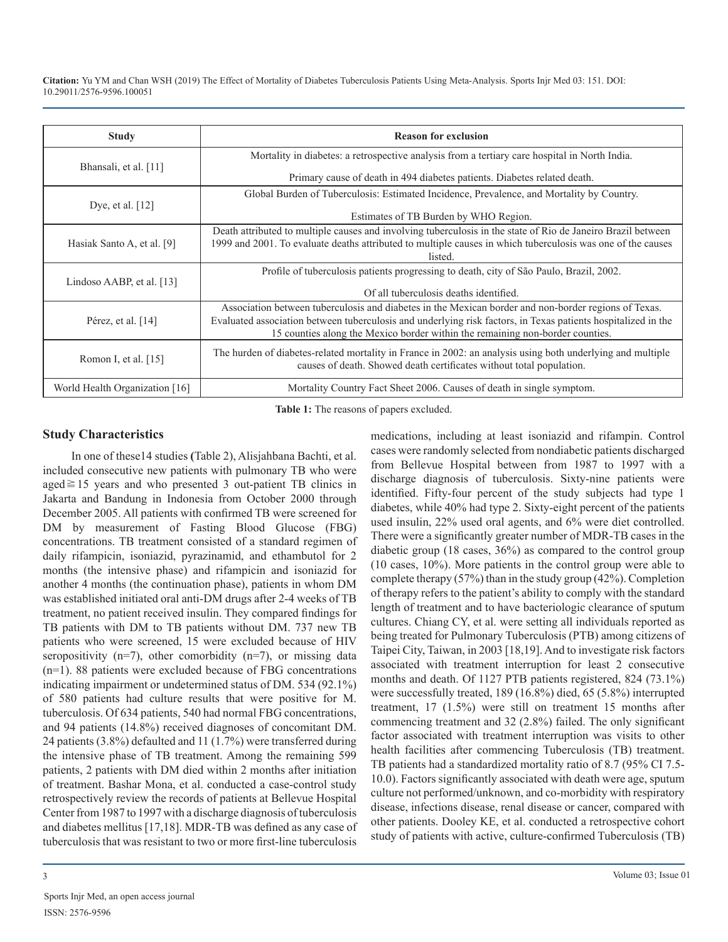| <b>Study</b>                   | <b>Reason for exclusion</b>                                                                                            |
|--------------------------------|------------------------------------------------------------------------------------------------------------------------|
| Bhansali, et al. [11]          | Mortality in diabetes: a retrospective analysis from a tertiary care hospital in North India.                          |
|                                | Primary cause of death in 494 diabetes patients. Diabetes related death.                                               |
|                                | Global Burden of Tuberculosis: Estimated Incidence, Prevalence, and Mortality by Country.                              |
| Dye, et al. $[12]$             | Estimates of TB Burden by WHO Region.                                                                                  |
|                                | Death attributed to multiple causes and involving tuberculosis in the state of Rio de Janeiro Brazil between           |
| Hasiak Santo A, et al. [9]     | 1999 and 2001. To evaluate deaths attributed to multiple causes in which tuberculosis was one of the causes<br>listed. |
|                                | Profile of tuberculosis patients progressing to death, city of São Paulo, Brazil, 2002.                                |
| Lindoso AABP, et al. $[13]$    |                                                                                                                        |
|                                | Of all tuberculosis deaths identified.                                                                                 |
|                                | Association between tuberculosis and diabetes in the Mexican border and non-border regions of Texas.                   |
| Pérez, et al. $[14]$           | Evaluated association between tuberculosis and underlying risk factors, in Texas patients hospitalized in the          |
|                                | 15 counties along the Mexico border within the remaining non-border counties.                                          |
| Romon I, et al. $[15]$         | The hurden of diabetes-related mortality in France in 2002: an analysis using both underlying and multiple             |
|                                | causes of death. Showed death certificates without total population.                                                   |
| World Health Organization [16] | Mortality Country Fact Sheet 2006. Causes of death in single symptom.                                                  |

**Table 1:** The reasons of papers excluded.

#### **Study Characteristics**

In one of these14 studies **(**Table 2), Alisjahbana Bachti, et al. included consecutive new patients with pulmonary TB who were aged≧15 years and who presented 3 out-patient TB clinics in Jakarta and Bandung in Indonesia from October 2000 through December 2005. All patients with confirmed TB were screened for DM by measurement of Fasting Blood Glucose (FBG) concentrations. TB treatment consisted of a standard regimen of daily rifampicin, isoniazid, pyrazinamid, and ethambutol for 2 months (the intensive phase) and rifampicin and isoniazid for another 4 months (the continuation phase), patients in whom DM was established initiated oral anti-DM drugs after 2-4 weeks of TB treatment, no patient received insulin. They compared findings for TB patients with DM to TB patients without DM. 737 new TB patients who were screened, 15 were excluded because of HIV seropositivity  $(n=7)$ , other comorbidity  $(n=7)$ , or missing data (n=1). 88 patients were excluded because of FBG concentrations indicating impairment or undetermined status of DM. 534 (92.1%) of 580 patients had culture results that were positive for M. tuberculosis. Of 634 patients, 540 had normal FBG concentrations, and 94 patients (14.8%) received diagnoses of concomitant DM. 24 patients (3.8%) defaulted and 11 (1.7%) were transferred during the intensive phase of TB treatment. Among the remaining 599 patients, 2 patients with DM died within 2 months after initiation of treatment. Bashar Mona, et al. conducted a case-control study retrospectively review the records of patients at Bellevue Hospital Center from 1987 to 1997 with a discharge diagnosis of tuberculosis and diabetes mellitus [17,18]. MDR-TB was defined as any case of tuberculosis that was resistant to two or more first-line tuberculosis

medications, including at least isoniazid and rifampin. Control cases were randomly selected from nondiabetic patients discharged from Bellevue Hospital between from 1987 to 1997 with a discharge diagnosis of tuberculosis. Sixty-nine patients were identified. Fifty-four percent of the study subjects had type 1 diabetes, while 40% had type 2. Sixty-eight percent of the patients used insulin, 22% used oral agents, and 6% were diet controlled. There were a significantly greater number of MDR-TB cases in the diabetic group (18 cases, 36%) as compared to the control group (10 cases, 10%). More patients in the control group were able to complete therapy (57%) than in the study group (42%). Completion of therapy refers to the patient's ability to comply with the standard length of treatment and to have bacteriologic clearance of sputum cultures. Chiang CY, et al. were setting all individuals reported as being treated for Pulmonary Tuberculosis (PTB) among citizens of Taipei City, Taiwan, in 2003 [18,19]. And to investigate risk factors associated with treatment interruption for least 2 consecutive months and death. Of 1127 PTB patients registered, 824 (73.1%) were successfully treated, 189 (16.8%) died, 65 (5.8%) interrupted treatment, 17 (1.5%) were still on treatment 15 months after commencing treatment and 32 (2.8%) failed. The only significant factor associated with treatment interruption was visits to other health facilities after commencing Tuberculosis (TB) treatment. TB patients had a standardized mortality ratio of 8.7 (95% CI 7.5- 10.0). Factors significantly associated with death were age, sputum culture not performed/unknown, and co-morbidity with respiratory disease, infections disease, renal disease or cancer, compared with other patients. Dooley KE, et al. conducted a retrospective cohort study of patients with active, culture-confirmed Tuberculosis (TB)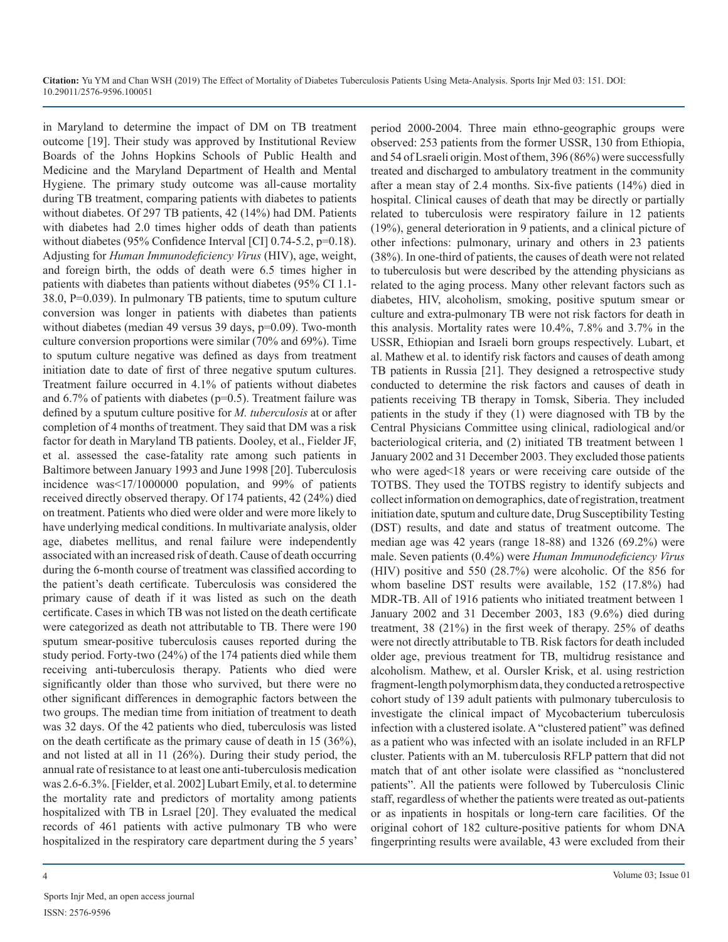in Maryland to determine the impact of DM on TB treatment outcome [19]. Their study was approved by Institutional Review Boards of the Johns Hopkins Schools of Public Health and Medicine and the Maryland Department of Health and Mental Hygiene. The primary study outcome was all-cause mortality during TB treatment, comparing patients with diabetes to patients without diabetes. Of 297 TB patients, 42 (14%) had DM. Patients with diabetes had 2.0 times higher odds of death than patients without diabetes (95% Confidence Interval [CI] 0.74-5.2, p=0.18). Adjusting for *Human Immunodeficiency Virus* (HIV), age, weight, and foreign birth, the odds of death were 6.5 times higher in patients with diabetes than patients without diabetes (95% CI 1.1- 38.0, P=0.039). In pulmonary TB patients, time to sputum culture conversion was longer in patients with diabetes than patients without diabetes (median 49 versus 39 days, p=0.09). Two-month culture conversion proportions were similar (70% and 69%). Time to sputum culture negative was defined as days from treatment initiation date to date of first of three negative sputum cultures. Treatment failure occurred in 4.1% of patients without diabetes and  $6.7\%$  of patients with diabetes ( $p=0.5$ ). Treatment failure was defined by a sputum culture positive for *M. tuberculosis* at or after completion of 4 months of treatment. They said that DM was a risk factor for death in Maryland TB patients. Dooley, et al., Fielder JF, et al. assessed the case-fatality rate among such patients in Baltimore between January 1993 and June 1998 [20]. Tuberculosis incidence was<17/1000000 population, and 99% of patients received directly observed therapy. Of 174 patients, 42 (24%) died on treatment. Patients who died were older and were more likely to have underlying medical conditions. In multivariate analysis, older age, diabetes mellitus, and renal failure were independently associated with an increased risk of death. Cause of death occurring during the 6-month course of treatment was classified according to the patient's death certificate. Tuberculosis was considered the primary cause of death if it was listed as such on the death certificate. Cases in which TB was not listed on the death certificate were categorized as death not attributable to TB. There were 190 sputum smear-positive tuberculosis causes reported during the study period. Forty-two (24%) of the 174 patients died while them receiving anti-tuberculosis therapy. Patients who died were significantly older than those who survived, but there were no other significant differences in demographic factors between the two groups. The median time from initiation of treatment to death was 32 days. Of the 42 patients who died, tuberculosis was listed on the death certificate as the primary cause of death in 15 (36%), and not listed at all in 11 (26%). During their study period, the annual rate of resistance to at least one anti-tuberculosis medication was 2.6-6.3%. [Fielder, et al. 2002] Lubart Emily, et al. to determine the mortality rate and predictors of mortality among patients hospitalized with TB in Lsrael [20]. They evaluated the medical records of 461 patients with active pulmonary TB who were hospitalized in the respiratory care department during the 5 years'

period 2000-2004. Three main ethno-geographic groups were observed: 253 patients from the former USSR, 130 from Ethiopia, and 54 of Lsraeli origin. Most of them, 396 (86%) were successfully treated and discharged to ambulatory treatment in the community after a mean stay of 2.4 months. Six-five patients (14%) died in hospital. Clinical causes of death that may be directly or partially related to tuberculosis were respiratory failure in 12 patients (19%), general deterioration in 9 patients, and a clinical picture of other infections: pulmonary, urinary and others in 23 patients (38%). In one-third of patients, the causes of death were not related to tuberculosis but were described by the attending physicians as related to the aging process. Many other relevant factors such as diabetes, HIV, alcoholism, smoking, positive sputum smear or culture and extra-pulmonary TB were not risk factors for death in this analysis. Mortality rates were 10.4%, 7.8% and 3.7% in the USSR, Ethiopian and Israeli born groups respectively. Lubart, et al. Mathew et al. to identify risk factors and causes of death among TB patients in Russia [21]. They designed a retrospective study conducted to determine the risk factors and causes of death in patients receiving TB therapy in Tomsk, Siberia. They included patients in the study if they (1) were diagnosed with TB by the Central Physicians Committee using clinical, radiological and/or bacteriological criteria, and (2) initiated TB treatment between 1 January 2002 and 31 December 2003. They excluded those patients who were aged<18 years or were receiving care outside of the TOTBS. They used the TOTBS registry to identify subjects and collect information on demographics, date of registration, treatment initiation date, sputum and culture date, Drug Susceptibility Testing (DST) results, and date and status of treatment outcome. The median age was 42 years (range 18-88) and 1326 (69.2%) were male. Seven patients (0.4%) were *Human Immunodeficiency Virus* (HIV) positive and 550 (28.7%) were alcoholic. Of the 856 for whom baseline DST results were available, 152 (17.8%) had MDR-TB. All of 1916 patients who initiated treatment between 1 January 2002 and 31 December 2003, 183 (9.6%) died during treatment, 38 (21%) in the first week of therapy. 25% of deaths were not directly attributable to TB. Risk factors for death included older age, previous treatment for TB, multidrug resistance and alcoholism. Mathew, et al. Oursler Krisk, et al. using restriction fragment-length polymorphism data, they conducted a retrospective cohort study of 139 adult patients with pulmonary tuberculosis to investigate the clinical impact of Mycobacterium tuberculosis infection with a clustered isolate. A "clustered patient" was defined as a patient who was infected with an isolate included in an RFLP cluster. Patients with an M. tuberculosis RFLP pattern that did not match that of ant other isolate were classified as "nonclustered patients". All the patients were followed by Tuberculosis Clinic staff, regardless of whether the patients were treated as out-patients or as inpatients in hospitals or long-tern care facilities. Of the original cohort of 182 culture-positive patients for whom DNA fingerprinting results were available, 43 were excluded from their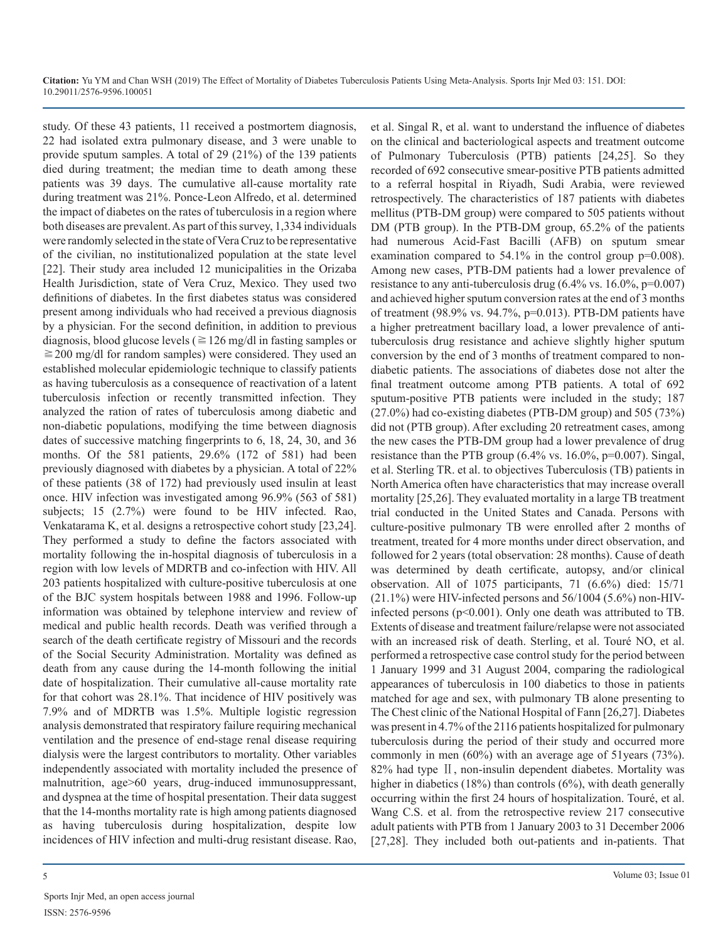study. Of these 43 patients, 11 received a postmortem diagnosis, 22 had isolated extra pulmonary disease, and 3 were unable to provide sputum samples. A total of 29 (21%) of the 139 patients died during treatment; the median time to death among these patients was 39 days. The cumulative all-cause mortality rate during treatment was 21%. Ponce-Leon Alfredo, et al. determined the impact of diabetes on the rates of tuberculosis in a region where both diseases are prevalent. As part of this survey, 1,334 individuals were randomly selected in the state of Vera Cruz to be representative of the civilian, no institutionalized population at the state level [22]. Their study area included 12 municipalities in the Orizaba Health Jurisdiction, state of Vera Cruz, Mexico. They used two definitions of diabetes. In the first diabetes status was considered present among individuals who had received a previous diagnosis by a physician. For the second definition, in addition to previous diagnosis, blood glucose levels ( $\geq$  126 mg/dl in fasting samples or  $\geq$ 200 mg/dl for random samples) were considered. They used an established molecular epidemiologic technique to classify patients as having tuberculosis as a consequence of reactivation of a latent tuberculosis infection or recently transmitted infection. They analyzed the ration of rates of tuberculosis among diabetic and non-diabetic populations, modifying the time between diagnosis dates of successive matching fingerprints to 6, 18, 24, 30, and 36 months. Of the 581 patients, 29.6% (172 of 581) had been previously diagnosed with diabetes by a physician. A total of 22% of these patients (38 of 172) had previously used insulin at least once. HIV infection was investigated among 96.9% (563 of 581) subjects; 15 (2.7%) were found to be HIV infected. Rao, Venkatarama K, et al. designs a retrospective cohort study [23,24]. They performed a study to define the factors associated with mortality following the in-hospital diagnosis of tuberculosis in a region with low levels of MDRTB and co-infection with HIV. All 203 patients hospitalized with culture-positive tuberculosis at one of the BJC system hospitals between 1988 and 1996. Follow-up information was obtained by telephone interview and review of medical and public health records. Death was verified through a search of the death certificate registry of Missouri and the records of the Social Security Administration. Mortality was defined as death from any cause during the 14-month following the initial date of hospitalization. Their cumulative all-cause mortality rate for that cohort was 28.1%. That incidence of HIV positively was 7.9% and of MDRTB was 1.5%. Multiple logistic regression analysis demonstrated that respiratory failure requiring mechanical ventilation and the presence of end-stage renal disease requiring dialysis were the largest contributors to mortality. Other variables independently associated with mortality included the presence of malnutrition, age>60 years, drug-induced immunosuppressant, and dyspnea at the time of hospital presentation. Their data suggest that the 14-months mortality rate is high among patients diagnosed as having tuberculosis during hospitalization, despite low incidences of HIV infection and multi-drug resistant disease. Rao,

et al. Singal R, et al. want to understand the influence of diabetes on the clinical and bacteriological aspects and treatment outcome of Pulmonary Tuberculosis (PTB) patients [24,25]. So they recorded of 692 consecutive smear-positive PTB patients admitted to a referral hospital in Riyadh, Sudi Arabia, were reviewed retrospectively. The characteristics of 187 patients with diabetes mellitus (PTB-DM group) were compared to 505 patients without DM (PTB group). In the PTB-DM group, 65.2% of the patients had numerous Acid-Fast Bacilli (AFB) on sputum smear examination compared to 54.1% in the control group p=0.008). Among new cases, PTB-DM patients had a lower prevalence of resistance to any anti-tuberculosis drug (6.4% vs. 16.0%, p=0.007) and achieved higher sputum conversion rates at the end of 3 months of treatment (98.9% vs. 94.7%, p=0.013). PTB-DM patients have a higher pretreatment bacillary load, a lower prevalence of antituberculosis drug resistance and achieve slightly higher sputum conversion by the end of 3 months of treatment compared to nondiabetic patients. The associations of diabetes dose not alter the final treatment outcome among PTB patients. A total of 692 sputum-positive PTB patients were included in the study; 187 (27.0%) had co-existing diabetes (PTB-DM group) and 505 (73%) did not (PTB group). After excluding 20 retreatment cases, among the new cases the PTB-DM group had a lower prevalence of drug resistance than the PTB group (6.4% vs. 16.0%, p=0.007). Singal, et al. Sterling TR. et al. to objectives Tuberculosis (TB) patients in North America often have characteristics that may increase overall mortality [25,26]. They evaluated mortality in a large TB treatment trial conducted in the United States and Canada. Persons with culture-positive pulmonary TB were enrolled after 2 months of treatment, treated for 4 more months under direct observation, and followed for 2 years (total observation: 28 months). Cause of death was determined by death certificate, autopsy, and/or clinical observation. All of 1075 participants, 71 (6.6%) died: 15/71  $(21.1\%)$  were HIV-infected persons and 56/1004 (5.6%) non-HIVinfected persons (p<0.001). Only one death was attributed to TB. Extents of disease and treatment failure/relapse were not associated with an increased risk of death. Sterling, et al. Touré NO, et al. performed a retrospective case control study for the period between 1 January 1999 and 31 August 2004, comparing the radiological appearances of tuberculosis in 100 diabetics to those in patients matched for age and sex, with pulmonary TB alone presenting to The Chest clinic of the National Hospital of Fann [26,27]. Diabetes was present in 4.7% of the 2116 patients hospitalized for pulmonary tuberculosis during the period of their study and occurred more commonly in men (60%) with an average age of 51years (73%). 82% had type II, non-insulin dependent diabetes. Mortality was higher in diabetics (18%) than controls (6%), with death generally occurring within the first 24 hours of hospitalization. Touré, et al. Wang C.S. et al. from the retrospective review 217 consecutive adult patients with PTB from 1 January 2003 to 31 December 2006 [27,28]. They included both out-patients and in-patients. That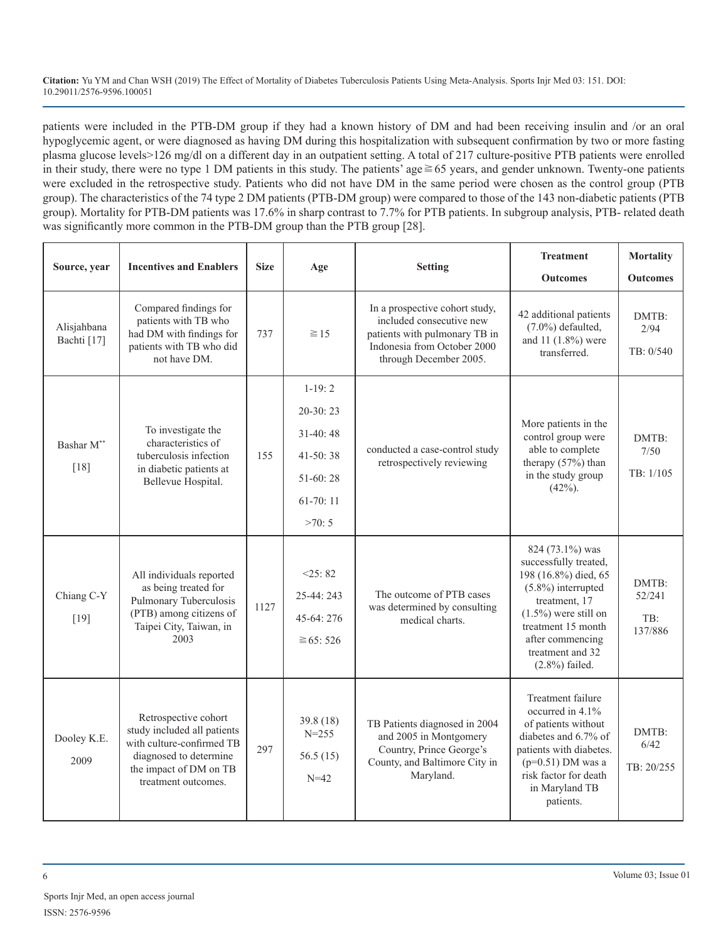patients were included in the PTB-DM group if they had a known history of DM and had been receiving insulin and /or an oral hypoglycemic agent, or were diagnosed as having DM during this hospitalization with subsequent confirmation by two or more fasting plasma glucose levels>126 mg/dl on a different day in an outpatient setting. A total of 217 culture-positive PTB patients were enrolled in their study, there were no type 1 DM patients in this study. The patients' age≧65 years, and gender unknown. Twenty-one patients were excluded in the retrospective study. Patients who did not have DM in the same period were chosen as the control group (PTB group). The characteristics of the 74 type 2 DM patients (PTB-DM group) were compared to those of the 143 non-diabetic patients (PTB group). Mortality for PTB-DM patients was 17.6% in sharp contrast to 7.7% for PTB patients. In subgroup analysis, PTB- related death was significantly more common in the PTB-DM group than the PTB group [28].

| Source, year               | <b>Incentives and Enablers</b>                                                                                                                                     | <b>Size</b> | Age                                                                                   | <b>Setting</b>                                                                                                                                       | <b>Treatment</b><br><b>Outcomes</b>                                                                                                                                                                                      | <b>Mortality</b><br><b>Outcomes</b> |
|----------------------------|--------------------------------------------------------------------------------------------------------------------------------------------------------------------|-------------|---------------------------------------------------------------------------------------|------------------------------------------------------------------------------------------------------------------------------------------------------|--------------------------------------------------------------------------------------------------------------------------------------------------------------------------------------------------------------------------|-------------------------------------|
| Alisjahbana<br>Bachti [17] | Compared findings for<br>patients with TB who<br>had DM with findings for<br>patients with TB who did<br>not have DM.                                              | 737         | $\geq 15$                                                                             | In a prospective cohort study,<br>included consecutive new<br>patients with pulmonary TB in<br>Indonesia from October 2000<br>through December 2005. | 42 additional patients<br>$(7.0\%)$ defaulted,<br>and 11 (1.8%) were<br>transferred.                                                                                                                                     | DMTB:<br>2/94<br>TB: 0/540          |
| Bashar M**<br>$[18]$       | To investigate the<br>characteristics of<br>tuberculosis infection<br>in diabetic patients at<br>Bellevue Hospital.                                                | 155         | $1-19:2$<br>$20-30:23$<br>$31-40:48$<br>$41-50:38$<br>51-60:28<br>$61-70:11$<br>>70:5 | conducted a case-control study<br>retrospectively reviewing                                                                                          | More patients in the<br>control group were<br>able to complete<br>therapy (57%) than<br>in the study group<br>$(42%)$ .                                                                                                  | DMTB:<br>7/50<br>TB: 1/105          |
| Chiang C-Y<br>$[19]$       | All individuals reported<br>as being treated for<br>Pulmonary Tuberculosis<br>(PTB) among citizens of<br>Taipei City, Taiwan, in<br>2003                           | 1127        | <25:82<br>25-44: 243<br>45-64: 276<br>≥ 65:526                                        | The outcome of PTB cases<br>was determined by consulting<br>medical charts.                                                                          | 824 (73.1%) was<br>successfully treated,<br>198 (16.8%) died, 65<br>$(5.8\%)$ interrupted<br>treatment, 17<br>$(1.5\%)$ were still on<br>treatment 15 month<br>after commencing<br>treatment and 32<br>$(2.8\%)$ failed. | DMTB:<br>52/241<br>TB:<br>137/886   |
| Dooley K.E.<br>2009        | Retrospective cohort<br>study included all patients<br>with culture-confirmed TB<br>297<br>diagnosed to determine<br>the impact of DM on TB<br>treatment outcomes. |             | 39.8(18)<br>$N = 255$<br>56.5 $(15)$<br>$N=42$                                        | TB Patients diagnosed in 2004<br>and 2005 in Montgomery<br>Country, Prince George's<br>County, and Baltimore City in<br>Maryland.                    | Treatment failure<br>occurred in 4.1%<br>of patients without<br>diabetes and $6.7\%$ of<br>patients with diabetes.<br>$(p=0.51)$ DM was a<br>risk factor for death<br>in Maryland TB<br>patients.                        | DMTB:<br>6/42<br>TB: 20/255         |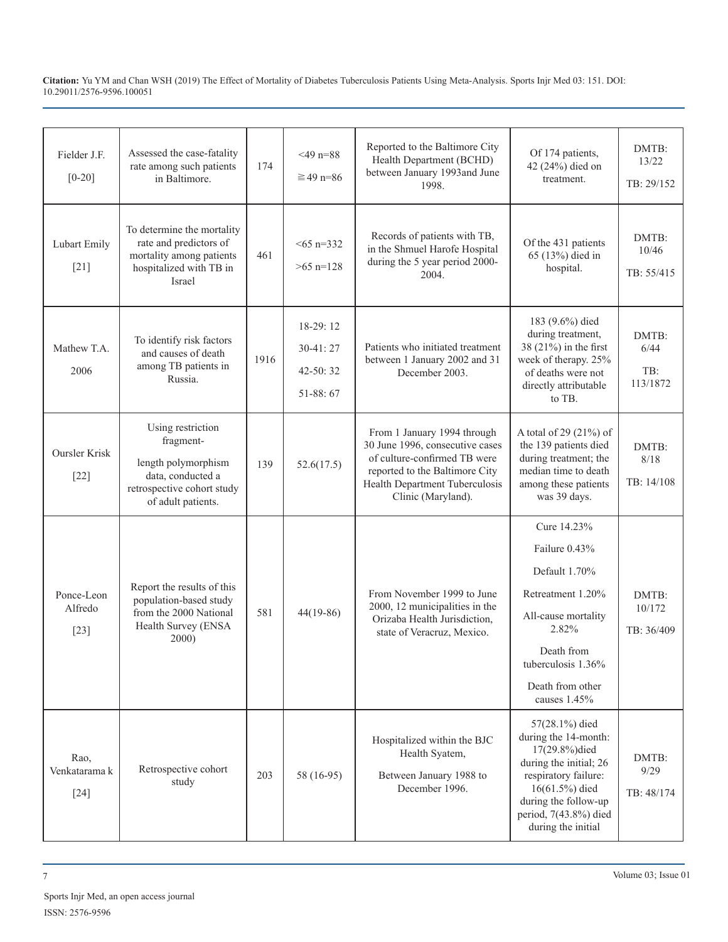| Fielder J.F.<br>$[0-20]$        | Assessed the case-fatality<br>rate among such patients<br>in Baltimore.                                                                                                                                                                                          | 174 | $<$ 49 n=88<br>$\geq 49$ n=86                                                                                                                                              | Reported to the Baltimore City<br>Health Department (BCHD)<br>between January 1993and June<br>1998.                                                                                                | Of 174 patients,<br>42 (24%) died on<br>treatment.                                                                                       | DMTB:<br>13/22<br>TB: 29/152 |
|---------------------------------|------------------------------------------------------------------------------------------------------------------------------------------------------------------------------------------------------------------------------------------------------------------|-----|----------------------------------------------------------------------------------------------------------------------------------------------------------------------------|----------------------------------------------------------------------------------------------------------------------------------------------------------------------------------------------------|------------------------------------------------------------------------------------------------------------------------------------------|------------------------------|
| Lubart Emily<br>$[21]$          | To determine the mortality<br>rate and predictors of<br>$565$ n=332<br>mortality among patients<br>461<br>$>65$ n=128<br>hospitalized with TB in<br>Israel                                                                                                       |     | Records of patients with TB,<br>in the Shmuel Harofe Hospital<br>during the 5 year period 2000-<br>2004.                                                                   | Of the 431 patients<br>65 (13%) died in<br>hospital.                                                                                                                                               | DMTB:<br>10/46<br>TB: 55/415                                                                                                             |                              |
| Mathew T.A.<br>2006             | 18-29:12<br>To identify risk factors<br>$30 - 41:27$<br>and causes of death<br>1916<br>among TB patients in<br>$42 - 50:32$<br>Russia.<br>51-88:67                                                                                                               |     | Patients who initiated treatment<br>between 1 January 2002 and 31<br>December 2003.                                                                                        | 183 (9.6%) died<br>during treatment,<br>38 (21%) in the first<br>week of therapy. 25%<br>of deaths were not<br>directly attributable<br>to TB.                                                     | DMTB:<br>6/44<br>TB:<br>113/1872                                                                                                         |                              |
| <b>Oursler Krisk</b><br>$[22]$  | Using restriction<br>fragment-<br>length polymorphism<br>data, conducted a<br>retrospective cohort study<br>of adult patients.                                                                                                                                   | 139 | 52.6(17.5)                                                                                                                                                                 | From 1 January 1994 through<br>30 June 1996, consecutive cases<br>of culture-confirmed TB were<br>reported to the Baltimore City<br>Health Department Tuberculosis<br>Clinic (Maryland).           | A total of 29 (21%) of<br>the 139 patients died<br>during treatment; the<br>median time to death<br>among these patients<br>was 39 days. | DMTB:<br>8/18<br>TB: 14/108  |
| Ponce-Leon<br>Alfredo<br>$[23]$ | Report the results of this<br>From November 1999 to June<br>population-based study<br>2000, 12 municipalities in the<br>from the 2000 National<br>581<br>44(19-86)<br>Orizaba Health Jurisdiction,<br>Health Survey (ENSA<br>state of Veracruz, Mexico.<br>2000) |     | Cure 14.23%<br>Failure 0.43%<br>Default 1.70%<br>Retreatment 1.20%<br>All-cause mortality<br>2.82%<br>Death from<br>tuberculosis 1.36%<br>Death from other<br>causes 1.45% | DMTB:<br>10/172<br>TB: 36/409                                                                                                                                                                      |                                                                                                                                          |                              |
| Rao,<br>Venkatarama k<br>$[24]$ | Retrospective cohort<br>203<br>58 (16-95)<br>study                                                                                                                                                                                                               |     | Hospitalized within the BJC<br>Health Syatem,<br>Between January 1988 to<br>December 1996.                                                                                 | 57(28.1%) died<br>during the 14-month:<br>17(29.8%)died<br>during the initial; 26<br>respiratory failure:<br>16(61.5%) died<br>during the follow-up<br>period, 7(43.8%) died<br>during the initial | DMTB:<br>9/29<br>TB: 48/174                                                                                                              |                              |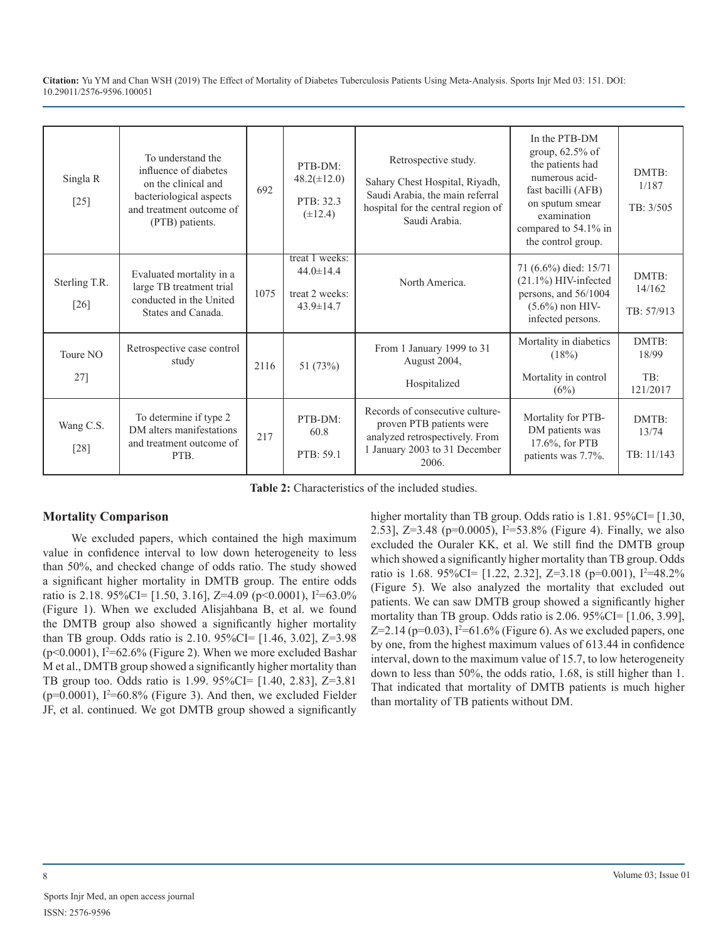| Singla R<br>$[25]$      | To understand the<br>influence of diabetes<br>on the clinical and<br>bacteriological aspects<br>and treatment outcome of<br>(PTB) patients. | 692  | PTB-DM:<br>$48.2(\pm 12.0)$<br>PTB: 32.3<br>$(\pm 12.4)$               | Retrospective study.<br>Sahary Chest Hospital, Riyadh,<br>Saudi Arabia, the main referral<br>hospital for the central region of<br>Saudi Arabia. | In the PTB-DM<br>group, $62.5\%$ of<br>the patients had<br>numerous acid-<br>fast bacilli (AFB)<br>on sputum smear<br>examination<br>compared to 54.1% in<br>the control group. | DMTB:<br>1/187<br>TB: 3/505       |
|-------------------------|---------------------------------------------------------------------------------------------------------------------------------------------|------|------------------------------------------------------------------------|--------------------------------------------------------------------------------------------------------------------------------------------------|---------------------------------------------------------------------------------------------------------------------------------------------------------------------------------|-----------------------------------|
| Sterling T.R.<br>$[26]$ | Evaluated mortality in a<br>large TB treatment trial<br>conducted in the United<br>States and Canada.                                       | 1075 | treat 1 weeks:<br>$44.0 \pm 14.4$<br>treat 2 weeks:<br>$43.9 \pm 14.7$ | North America.                                                                                                                                   | 71 (6.6%) died: 15/71<br>$(21.1\%)$ HIV-infected<br>persons, and 56/1004<br>$(5.6\%)$ non HIV-<br>infected persons.                                                             | DMTB:<br>14/162<br>TB: 57/913     |
| Toure NO<br>$27$ ]      | Retrospective case control<br>study                                                                                                         | 2116 | 51 $(73%)$                                                             | From 1 January 1999 to 31<br>August 2004,<br>Hospitalized                                                                                        | Mortality in diabetics<br>(18%)<br>Mortality in control<br>(6%)                                                                                                                 | DMTB:<br>18/99<br>TB:<br>121/2017 |
| Wang C.S.<br>$[28]$     | To determine if type 2<br>DM alters manifestations<br>and treatment outcome of<br>PTB.                                                      | 217  | PTB-DM:<br>60.8<br>PTB: 59.1                                           | Records of consecutive culture-<br>proven PTB patients were<br>analyzed retrospectively. From<br>1 January 2003 to 31 December<br>2006.          | Mortality for PTB-<br>DM patients was<br>$17.6\%$ , for PTB<br>patients was 7.7%.                                                                                               | DMTB:<br>13/74<br>TB: 11/143      |

**Table 2:** Characteristics of the included studies.

#### **Mortality Comparison**

We excluded papers, which contained the high maximum value in confidence interval to low down heterogeneity to less than 50%, and checked change of odds ratio. The study showed a significant higher mortality in DMTB group. The entire odds ratio is 2.18. 95%CI= [1.50, 3.16], Z=4.09 (p<0.0001),  $I^2=63.0\%$ (Figure 1). When we excluded Alisjahbana B, et al. we found the DMTB group also showed a significantly higher mortality than TB group. Odds ratio is 2.10. 95%CI= [1.46, 3.02], Z=3.98  $(p<0.0001)$ , I<sup>2</sup>=62.6% (Figure 2). When we more excluded Bashar M et al., DMTB group showed a significantly higher mortality than TB group too. Odds ratio is 1.99. 95%CI= [1.40, 2.83], Z=3.81  $(p=0.0001)$ ,  $I^2=60.8\%$  (Figure 3). And then, we excluded Fielder JF, et al. continued. We got DMTB group showed a significantly

higher mortality than TB group. Odds ratio is 1.81. 95%CI= [1.30, 2.53],  $Z=3.48$  (p=0.0005),  $I^2=53.8\%$  (Figure 4). Finally, we also excluded the Ouraler KK, et al. We still find the DMTB group which showed a significantly higher mortality than TB group. Odds ratio is 1.68. 95%CI= [1.22, 2.32], Z=3.18 (p=0.001), I<sup>2</sup>=48.2% (Figure 5). We also analyzed the mortality that excluded out patients. We can saw DMTB group showed a significantly higher mortality than TB group. Odds ratio is  $2.06$ .  $95\%$ CI= [1.06, 3.99], Z=2.14 (p=0.03),  $I^2$ =61.6% (Figure 6). As we excluded papers, one by one, from the highest maximum values of 613.44 in confidence interval, down to the maximum value of 15.7, to low heterogeneity down to less than 50%, the odds ratio, 1.68, is still higher than 1. That indicated that mortality of DMTB patients is much higher than mortality of TB patients without DM.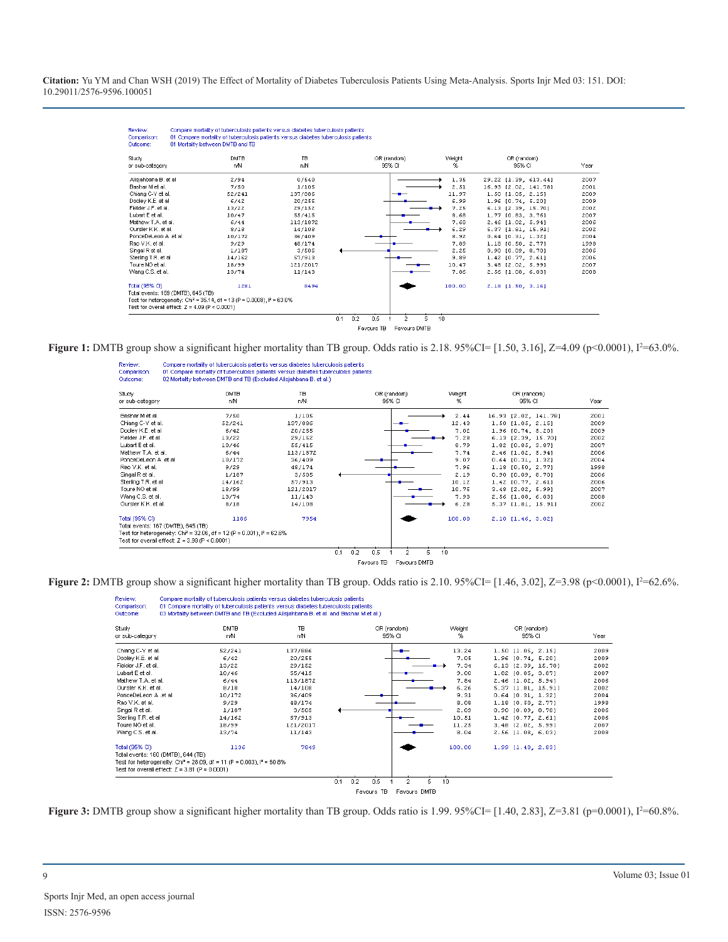| Study                                                                                 | <b>DMTB</b> | <b>TB</b> | OR (random) | Weight | OR (random)           |      |
|---------------------------------------------------------------------------------------|-------------|-----------|-------------|--------|-----------------------|------|
| or sub-category                                                                       | n/N         | n/N       | 95% CI      | %      | 95% CI                | Year |
| Alisiahbana B. et al                                                                  | 2/94        | 0/540     |             | 1.35   | 29.22 [1.39, 613.44]  | 2007 |
| Bashar M et al.                                                                       | 7/50        | 1/105     |             | 2.51   | 16.93 [2.02, 141.78]  | 2001 |
| Chiang C-Y et al.                                                                     | 52/241      | 137/886   |             | 11.97  | 1.50 [1.05, 2.15]     | 2009 |
| Dooley K.E. et al.                                                                    | 6/42        | 20/255    |             | 6.99   | 1.96 [0.74, 5.20]     | 2009 |
| Fielder J.F. et al.                                                                   | 13/22       | 29/152    |             | 7.25   | 6.13 [2.39, 15.70]    | 2002 |
| Lubart E et al.                                                                       | 10/47       | 55/415    |             | 8.68   | 1.77 [0.83, 3.76]     | 2007 |
| Mathew T A et al.                                                                     | 6/44        | 113/1872  |             | 7.68   | 2.46 [1.02, 5.94]     | 2006 |
| Oursler K.K. et al.                                                                   | 8/18        | 14/108    |             | 6.29   | 5.37 [1.81, 15.91]    | 2002 |
| PonceDeLeon A .et al.                                                                 | 10/172      | 36/409    |             | 8.92   | $0.64$ $[0.31, 1.32]$ | 2004 |
| Rao V.K. et al.                                                                       | 9/29        | 48/174    |             | 7.89   | 1.18 (0.50, 2.77)     | 1998 |
| Singal R et al.                                                                       | 1/187       | 3/505     |             | 2.25   | $0.90$ $[0.09, 8.70]$ | 2006 |
| Sterling T.R. et al.                                                                  | 14/162      | 57/913    |             | 9.89   | 1.42 [0.77, 2.61]     | 2006 |
| Toure NO et al.                                                                       | 18/99       | 121/2017  |             | 10.47  | 3.48 [2.02, 5.99]     | 2007 |
| Wang C.S. et al.                                                                      | 13/74       | 11/143    |             | 7.86   | 2.56 [1.08. 6.03]     | 2008 |
| Total (95% CI)                                                                        | 1281        | 8494      |             | 100.00 | 2.18 [1.50, 3.16]     |      |
| Total events: 169 (DMTB), 645 (TB)                                                    |             |           |             |        |                       |      |
| Test for heterogeneity: Chi <sup>2</sup> = 35.14, df = 13 (P = 0.0008), $I^2$ = 63.0% |             |           |             |        |                       |      |
| Test for overall effect: $Z = 4.09$ (P < 0.0001)                                      |             |           |             |        |                       |      |

**Figure 1:** DMTB group show a significant higher mortality than TB group. Odds ratio is 2.18. 95%CI= [1.50, 3.16], Z=4.09 (p<0.0001), I<sup>2</sup>=63.0%.



**Figure 2:** DMTB group show a significant higher mortality than TB group. Odds ratio is 2.10.  $95\%$ CI= [1.46, 3.02], Z=3.98 (p<0.0001), I<sup>2</sup>=62.6%.

| Review:<br>Comparison:<br>Outcome:                                                                                                                                                                                                                         | Compare mortality of tuberculosis patients versus diabetes tuberculosis patients<br>01 Compare mortality of tuberculosis patients versus diabetes tuberculosis patients<br>03 Mortality between DMTB and TB (Excluded Alisiahbana B, et al. and Bashar M et al.) |                                                                                                                          |            |                            |                                                                                                 |                                                                                                                                                                                                                                                                            |                                                                                              |
|------------------------------------------------------------------------------------------------------------------------------------------------------------------------------------------------------------------------------------------------------------|------------------------------------------------------------------------------------------------------------------------------------------------------------------------------------------------------------------------------------------------------------------|--------------------------------------------------------------------------------------------------------------------------|------------|----------------------------|-------------------------------------------------------------------------------------------------|----------------------------------------------------------------------------------------------------------------------------------------------------------------------------------------------------------------------------------------------------------------------------|----------------------------------------------------------------------------------------------|
| Study<br>or sub-category                                                                                                                                                                                                                                   | DMTB<br>nN                                                                                                                                                                                                                                                       | TB<br>nN                                                                                                                 |            | OR (random)<br>95% CI      | Weight<br>%                                                                                     | OR (random)<br>95% CI                                                                                                                                                                                                                                                      | Year                                                                                         |
| Chiang C-Y et al.<br>Dooley K.E. et al<br>Fielder J.F. et al.<br>Lubart E et al.<br>Mathew T.A. et al.<br>Oursler K.K. et al.<br>PonceDeLeon A .et al<br>Rao V.K. et al.<br>Singal R et al.<br>Sterling T.R. et al.<br>Toure NO et al.<br>Wang C.S. et al. | 52/241<br>6/42<br>13/22<br>10/46<br>6/44<br>8/18<br>10/172<br>9/29<br>1/187<br>14/162<br>18/99<br>13/74                                                                                                                                                          | 137/886<br>20/255<br>29/152<br>55/415<br>113/1872<br>14/108<br>36/409<br>48/174<br>3/505<br>57/913<br>121/2017<br>11/143 |            |                            | 13.24<br>7.05<br>7.34<br>9.00<br>7.84<br>6.26<br>9.31<br>8.08<br>2.09<br>10.51<br>11.25<br>8.04 | $1.50$ $[1.05, 2.15]$<br>1.96 [0.74, 5.20]<br>6.13 [2.39, 15.70]<br>1.82 [0.85, 3.87]<br>2.46 [1.02, 5.94]<br>5.37 [1.81, 15.91]<br>$0.64$ $[0.31, 1.32]$<br>1.18 [0.50, 2.77]<br>$0.90$ $[0.09, 8.70]$<br>$1.42$ $[0.77, 2.61]$<br>3.48 [2.02, 5.99]<br>2.56 [1.08, 6.03] | 2009<br>2009<br>2002<br>2007<br>2006<br>2002<br>2004<br>1998<br>2006<br>2006<br>2007<br>2008 |
| Total (95% CI)<br>Total events: 160 (DMTB), 644 (TB)<br>Test for overall effect: $Z = 3.81$ (P = 0.0001)                                                                                                                                                   | 1136<br>Test for heterogeneity: Chi <sup>2</sup> = 28.09, df = 11 (P = 0.003), $I^2$ = 60.8%                                                                                                                                                                     | 7849                                                                                                                     |            |                            | 100.00                                                                                          | $1.99$ $[1.40, 2.83]$                                                                                                                                                                                                                                                      |                                                                                              |
|                                                                                                                                                                                                                                                            |                                                                                                                                                                                                                                                                  |                                                                                                                          | 0.1<br>0.2 | 0.5<br>$\overline{2}$      | 10<br>5.                                                                                        |                                                                                                                                                                                                                                                                            |                                                                                              |
|                                                                                                                                                                                                                                                            |                                                                                                                                                                                                                                                                  |                                                                                                                          |            | Favours TB<br>Favours DMTB |                                                                                                 |                                                                                                                                                                                                                                                                            |                                                                                              |

**Figure 3:** DMTB group show a significant higher mortality than TB group. Odds ratio is  $1.99$ .  $95\%$ CI=  $[1.40, 2.83]$ ,  $Z=3.81$  (p=0.0001),  $I^2=60.8\%$ .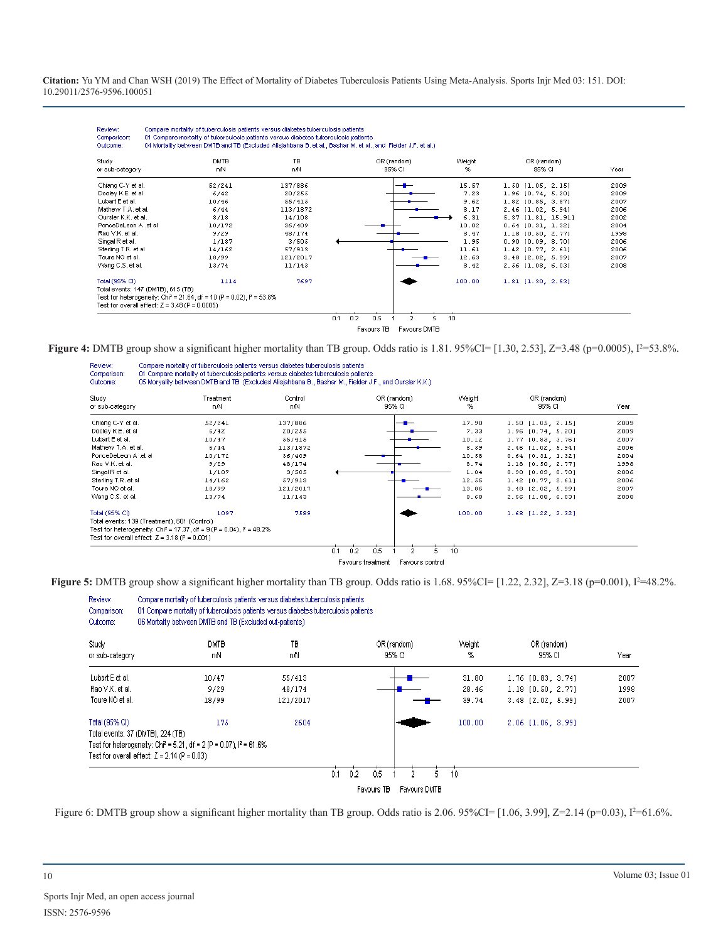| Study<br>or sub-category                                                           | <b>DMTB</b><br>nN | TB<br>nN | OR (random)<br>95% CI | Weight<br>% | OR (random)<br>95% CI | Year |
|------------------------------------------------------------------------------------|-------------------|----------|-----------------------|-------------|-----------------------|------|
| Chiang C-Y et al.                                                                  | 52/241            | 137/886  |                       | 15.57       | $1.50$ $[1.05, 2.15]$ | 2009 |
| Dooley K.E. et al.                                                                 | 6/42              | 20/255   |                       | 7.23        | 1.96 [0.74, 5.20]     | 2009 |
| Lubart E et al.                                                                    | 10/46             | 55/415   |                       | 9.62        | 1.82 [0.85, 3.87]     | 2007 |
| Mathew T.A. et al.                                                                 | 6/44              | 113/1872 |                       | 8.17        | 2.46 [1.02, 5.94]     | 2006 |
| Oursler K.K. et al.                                                                | 8/18              | 14/108   |                       | 6.31        | 5.37 [1.81, 15.91]    | 2002 |
| PonceDeLeon A .et al                                                               | 10/172            | 36/409   |                       | 10.02       | $0.64$ $[0.31, 1.32]$ | 2004 |
| Rao V.K. et al.                                                                    | 9/29              | 48/174   |                       | 8.47        | 1.18 [0.50, 2.77]     | 1998 |
| Singal R et al.                                                                    | 1/187             | 3/505    |                       | 1.95        | $0.90$ $[0.09, 8.70]$ | 2006 |
| Sterling T.R. et al.                                                               | 14/162            | 57/913   |                       | 11.61       | 1.42 [0.77, 2.61]     | 2006 |
| Toure NO et al.                                                                    | 18/99             | 121/2017 |                       | 12.63       | 3.48 [2.02, 5.99]     | 2007 |
| Wang C.S. et al.                                                                   | 13/74             | 11/143   |                       | 8.42        | 2.56 11.08. 6.031     | 2008 |
| Total (95% CI)                                                                     | 1114              | 7697     |                       | 100.00      | $1.81$ $[1.30, 2.53]$ |      |
| Total events: 147 (DMTB), 615 (TB)                                                 |                   |          |                       |             |                       |      |
| Test for heterogeneity: Chi <sup>2</sup> = 21.64, df = 10 (P = 0.02), $P = 53.8\%$ |                   |          |                       |             |                       |      |
| Test for overall effect: $Z = 3.48$ (P = 0.0005)                                   |                   |          |                       |             |                       |      |

**Figure 4:** DMTB group show a significant higher mortality than TB group. Odds ratio is 1.81. 95%CI= [1.30, 2.53], Z=3.48 (p=0.0005), I<sup>2</sup>=53.8%.

| Review:<br>Comparison:<br>Outcome:                                                                                | Compare mortality of tuberculosis patients versus diabetes tuberculosis patients<br>01 Compare mortality of tuberculosis patients versus diabetes tuberculosis patients. |          | 05 Moryality between DMTB and TB (Excluded Alisjahbana B., Bashar M., Fielder J.F., and Oursler K.K.) |              |                       |      |
|-------------------------------------------------------------------------------------------------------------------|--------------------------------------------------------------------------------------------------------------------------------------------------------------------------|----------|-------------------------------------------------------------------------------------------------------|--------------|-----------------------|------|
| Study                                                                                                             | Treatment                                                                                                                                                                | Control  | OR (random)                                                                                           | Weight       | OR (random)           | Year |
| or sub-category                                                                                                   | nN                                                                                                                                                                       | nN       | 95% CI                                                                                                | %            | 95% CI                |      |
| Chiang C-Y et al.                                                                                                 | 52/241                                                                                                                                                                   | 137/886  |                                                                                                       | 17.90        | $1.50$ $[1.05, 2.15]$ | 2009 |
| Dooley K.E. et al.                                                                                                | 6/42                                                                                                                                                                     | 20/255   |                                                                                                       | 7.33         | $1.96$ $[0.74, 5.20]$ | 2009 |
| Lubart E et al.                                                                                                   | 10/47                                                                                                                                                                    | 55/415   |                                                                                                       | 10.12        | $1.77$ [0.83, 3.76]   | 2007 |
| Mathew T.A. et al.                                                                                                | 6/44                                                                                                                                                                     | 113/1872 |                                                                                                       | 8.39         | 2.46 [1.02, 5.94]     | 2006 |
| PonceDeLeon A .et al.                                                                                             | 10/172                                                                                                                                                                   | 36/409   |                                                                                                       | 10.58        | $0.64$ $[0.31, 1.32]$ | 2004 |
| Rao V.K. et al.                                                                                                   | 9/29                                                                                                                                                                     | 48/174   |                                                                                                       | 8.74         | 1.18 [0.50, 2.77]     | 1998 |
| Singal R et al.                                                                                                   | 1/187                                                                                                                                                                    | 3/505    |                                                                                                       | 1.84         | $0.90$ $[0.09, 8.70]$ | 2006 |
| Sterling T.R. et al.                                                                                              | 14/162                                                                                                                                                                   | 57/913   |                                                                                                       | 12.55        | $1.42$ $[0.77, 2.61]$ | 2006 |
| Toure NO et al.                                                                                                   | 18/99                                                                                                                                                                    | 121/2017 |                                                                                                       | 13.86        | 3.48 [2.02, 5.99]     | 2007 |
| Wang C.S. et al.                                                                                                  | 13/74                                                                                                                                                                    | 11/143   |                                                                                                       | 8.68         | 2.56 [1.08, 6.03]     | 2008 |
| Total (95% CI)<br>Total events: 139 (Treatment), 601 (Control)<br>Test for overall effect: $Z = 3.18$ (P = 0.001) | 1097<br>Test for heterogeneity: Chi <sup>2</sup> = 17.37, df = 9 (P = 0.04), $P = 48.2\%$                                                                                | 7589     | 0.2<br>0.1<br>0.5<br>2<br>Favours treatment<br>Favours control                                        | 100.00<br>10 | $1.68$ $[1.22, 2.32]$ |      |

**Figure 5:** DMTB group show a significant higher mortality than TB group. Odds ratio is  $1.68$ .  $95\%$ CI= [ $1.22$ ,  $2.32$ ],  $Z=3.18$  (p=0.001),  $I^2=48.2\%$ .

| Review:<br>Comparison:<br>Outcome: | 06 Mortality between DMTB and TB (Excluded out-patients)                                                                                                                |            | Compare mortality of tuberculosis patients versus diabetes tuberculosis patients<br>01 Compare mortality of tuberculosis patients versus diabetes tuberculosis patients |            |                       |              |             |                       |      |
|------------------------------------|-------------------------------------------------------------------------------------------------------------------------------------------------------------------------|------------|-------------------------------------------------------------------------------------------------------------------------------------------------------------------------|------------|-----------------------|--------------|-------------|-----------------------|------|
| Study<br>or sub-category           |                                                                                                                                                                         | DMTB<br>пN | TB<br>пN                                                                                                                                                                |            | OR (random)<br>95% CI |              | Weight<br>% | OR (random)<br>95% CI | Year |
| Lubart Eet al.                     |                                                                                                                                                                         | 10/47      | 55/413                                                                                                                                                                  |            |                       |              | 31.80       | $1.76$ $[0.83, 3.74]$ | 2007 |
| Rao V.K. et al.                    |                                                                                                                                                                         | 9/29       | 48/174                                                                                                                                                                  |            |                       |              | 28.46       | $1.18$ $[0.50, 2.77]$ | 1998 |
| Toure NO et al.                    |                                                                                                                                                                         | 18/99      | 121/2017                                                                                                                                                                |            |                       |              | 39.74       | 3.48 [2.02, 5.99]     | 2007 |
| Total (95% CI)                     | Total events: 37 (DMTB), 224 (TB)<br>Test for heterogeneity: Chi <sup>2</sup> = 5.21, df = 2 (P = 0.07), $P = 61.6\%$<br>Test for overall effect: $Z = 2.14$ (P = 0.03) | 175        | 2604                                                                                                                                                                    |            |                       |              | 100.00      | $2.06$ [1.06, 3.99]   |      |
|                                    |                                                                                                                                                                         |            |                                                                                                                                                                         | 0.1<br>0.2 | 0.5                   |              | 10          |                       |      |
|                                    |                                                                                                                                                                         |            |                                                                                                                                                                         |            | Favours TB            | Favours DMTB |             |                       |      |

Figure 6: DMTB group show a significant higher mortality than TB group. Odds ratio is 2.06. 95%CI=  $[1.06, 3.99]$ , Z=2.14 (p=0.03), I<sup>2</sup>=61.6%.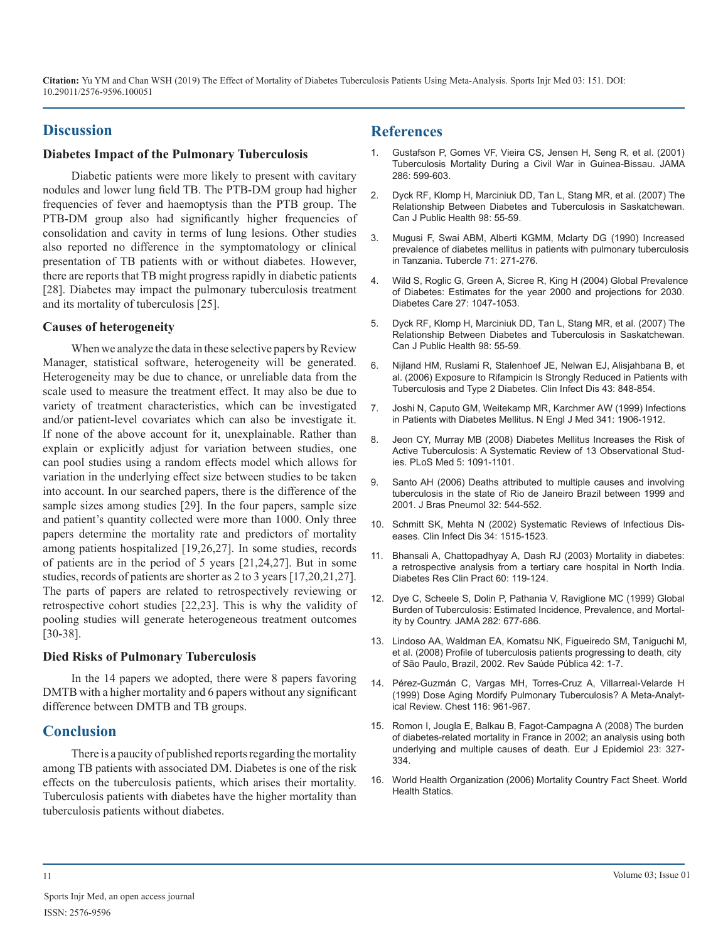#### **Discussion**

#### **Diabetes Impact of the Pulmonary Tuberculosis**

Diabetic patients were more likely to present with cavitary nodules and lower lung field TB. The PTB-DM group had higher [frequencies of fever and haemoptysis than the PTB group. The](https://www.ncbi.nlm.nih.gov/pubmed/17278679)  PTB-DM group also had significantly higher frequencies of consolidation and cavity in terms of lung lesions. Other studies [also reported no difference in the symptomatology or clinical](https://www.sciencedirect.com/science/article/pii/004138799090040F)  presentation of TB patients with or without diabetes. However, there are reports that TB might progress rapidly in diabetic patients [28]. Diabetes may impact the pulmonary tuberculosis treatment and its mortality of tuberculosis [25].

#### **Causes of heterogeneity**

When we analyze the data in these selective papers by Review Manager, statistical software, heterogeneity will be generated. [Heterogeneity may be due to chance, or unreliable data from the](https://www.ncbi.nlm.nih.gov/pubmed/16941365)  scale used to measure the treatment effect. It may also be due to variety of treatment characteristics, which can be investigated [and/or patient-level covariates which can also be investigate it.](https://www.ncbi.nlm.nih.gov/pubmed/10601511)  If none of the above account for it, unexplainable. Rather than [explain or explicitly adjust for variation between studies, one](https://www.ncbi.nlm.nih.gov/pubmed/18630984)  can pool studies using a random effects model which allows for variation in the underlying effect size between studies to be taken [into account. In our searched papers, there is the difference of the](https://www.ncbi.nlm.nih.gov/pubmed/17435905)  sample sizes among studies [29]. In the four papers, sample size and patient's quantity collected were more than 1000. Only three [papers determine the mortality rate and predictors of mortality](https://www.ncbi.nlm.nih.gov/pubmed/12015699)  among patients hospitalized [19,26,27]. In some studies, records of patients are in the period of 5 years [21,24,27]. But in some studies, records of patients are shorter as 2 to 3 years [17,20,21,27]. The parts of papers are related to retrospectively reviewing or retrospective cohort studies [22,23]. This is why the validity of pooling studies will generate heterogeneous treatment outcomes [30-38].

#### **Died Risks of Pulmonary Tuberculosis**

In the 14 papers we adopted, there were 8 papers favoring [DMTB with a higher mortality and 6 papers without any significant](https://www.ncbi.nlm.nih.gov/pubmed/10531160)  difference between DMTB and TB groups.

#### **Conclusion**

There is a paucity of published reports regarding the mortality among TB patients with associated DM. Diabetes is one of the risk effects on the tuberculosis patients, which arises their mortality. [Tuberculosis patients with diabetes have the higher mortality than](http://www.who.int/whosis/en/)  tuberculosis patients without diabetes.

#### **References**

- 1. [Gustafson P, Gomes VF, Vieira CS, Jensen H, Seng R, et al. \(2001\)](https://www.ncbi.nlm.nih.gov/pubmed/11476664) [Tuberculosis Mortality During a Civil War in Guinea-Bissau. JAMA](https://www.ncbi.nlm.nih.gov/pubmed/11476664) [286: 599-603.](https://www.ncbi.nlm.nih.gov/pubmed/11476664)
- 2. [Dyck RF, Klomp H, Marciniuk DD, Tan L, Stang MR, et al. \(2007\) The](https://www.ncbi.nlm.nih.gov/pubmed/17278679) Relationship Between Diabetes and Tuberculosis in Saskatchewan. [Can J Public Health 98: 55-59.](https://www.ncbi.nlm.nih.gov/pubmed/17278679)
- 3. [Mugusi F, Swai ABM, Alberti KGMM, Mclarty DG \(1990\) Increased](https://www.sciencedirect.com/science/article/pii/004138799090040F)  prevalence of diabetes mellitus in patients with pulmonary tuberculosis [in Tanzania. Tubercle 71: 271-276.](https://www.sciencedirect.com/science/article/pii/004138799090040F)
- 4. [Wild S, Roglic G, Green A, Sicree R, King H \(2004\) Global Prevalence](https://www.ncbi.nlm.nih.gov/pubmed/15111519) of Diabetes: Estimates for the year 2000 and projections for 2030. [Diabetes Care 27: 1047-1053.](https://www.ncbi.nlm.nih.gov/pubmed/15111519)
- 5. [Dyck RF, Klomp H, Marciniuk DD, Tan L, Stang MR, et al. \(2007\) The](https://www.ncbi.nlm.nih.gov/pubmed/17278679) [Relationship Between Diabetes and Tuberculosis in Saskatchewan.](https://www.ncbi.nlm.nih.gov/pubmed/17278679)  [Can J Public Health 98: 55-59.](https://www.ncbi.nlm.nih.gov/pubmed/17278679)
- 6. [Nijland HM, Ruslami R, Stalenhoef JE, Nelwan EJ, Alisjahbana B, et](https://www.ncbi.nlm.nih.gov/pubmed/16941365) al. (2006) Exposure to Rifampicin Is Strongly Reduced in Patients with [Tuberculosis and Type 2 Diabetes. Clin Infect Dis 43: 848-854.](https://www.ncbi.nlm.nih.gov/pubmed/16941365)
- 7. [Joshi N, Caputo GM, Weitekamp MR, Karchmer AW \(1999\) Infections](https://www.ncbi.nlm.nih.gov/pubmed/10601511)  in Patients with Diabetes Mellitus. N Engl J Med 341: 1906-1912.
- 8. [Jeon CY, Murray MB \(2008\) Diabetes Mellitus Increases the Risk of](https://www.ncbi.nlm.nih.gov/pubmed/18630984) Active Tuberculosis: A Systematic Review of 13 Observational Stud[ies. PLoS Med 5: 1091-1101.](https://www.ncbi.nlm.nih.gov/pubmed/18630984)
- 9. [Santo AH \(2006\) Deaths attributed to multiple causes and involving](https://www.ncbi.nlm.nih.gov/pubmed/17435905)  tuberculosis in the state of Rio de Janeiro Brazil between 1999 and [2001. J Bras Pneumol 32: 544-552.](https://www.ncbi.nlm.nih.gov/pubmed/17435905)
- 10. [Schmitt SK, Mehta N \(2002\) Systematic Reviews of Infectious Dis](https://www.ncbi.nlm.nih.gov/pubmed/12015699)eases. Clin Infect Dis 34: 1515-1523.
- 11. [Bhansali A, Chattopadhyay A, Dash RJ \(2003\) Mortality in diabetes:](https://www.ncbi.nlm.nih.gov/pubmed/12706320)  [a retrospective analysis from a tertiary care hospital in North India.](https://www.ncbi.nlm.nih.gov/pubmed/12706320)  [Diabetes Res Clin Pract 60: 119-124.](https://www.ncbi.nlm.nih.gov/pubmed/12706320)
- 12. [Dye C, Scheele S, Dolin P, Pathania V, Raviglione MC \(1999\) Global](https://www.ncbi.nlm.nih.gov/pubmed/10517722)  [Burden of Tuberculosis: Estimated Incidence, Prevalence, and Mortal](https://www.ncbi.nlm.nih.gov/pubmed/10517722)[ity by Country. JAMA 282: 677-686.](https://www.ncbi.nlm.nih.gov/pubmed/10517722)
- 13. [Lindoso AA, Waldman EA, Komatsu NK, Figueiredo SM, Taniguchi M,](https://www.ncbi.nlm.nih.gov/pubmed/18833381)  [et al. \(2008\) Profile of tuberculosis patients progressing to death, city](https://www.ncbi.nlm.nih.gov/pubmed/18833381)  [of São Paulo, Brazil, 2002. Rev Saúde Pública 42: 1-7.](https://www.ncbi.nlm.nih.gov/pubmed/18833381)
- 14. [Pérez-Guzmán C, Vargas MH, Torres-Cruz A, Villarreal-Velarde H](https://www.ncbi.nlm.nih.gov/pubmed/10531160)  (1999) Dose Aging Mordify Pulmonary Tuberculosis? A Meta-Analyt[ical Review. Chest 116: 961-967.](https://www.ncbi.nlm.nih.gov/pubmed/10531160)
- 15. [Romon I, Jougla E, Balkau B, Fagot-Campagna A \(2008\) The burden](https://www.ncbi.nlm.nih.gov/pubmed/18386133)  [of diabetes-related mortality in France in 2002; an analysis using both](https://www.ncbi.nlm.nih.gov/pubmed/18386133) [underlying and multiple causes of death. Eur J Epidemiol 23: 327-](https://www.ncbi.nlm.nih.gov/pubmed/18386133) [334.](https://www.ncbi.nlm.nih.gov/pubmed/18386133)
- 16. [World Health Organization \(2006\) Mortality Country Fact Sheet. World](http://www.who.int/whosis/en/)  Health Statics.